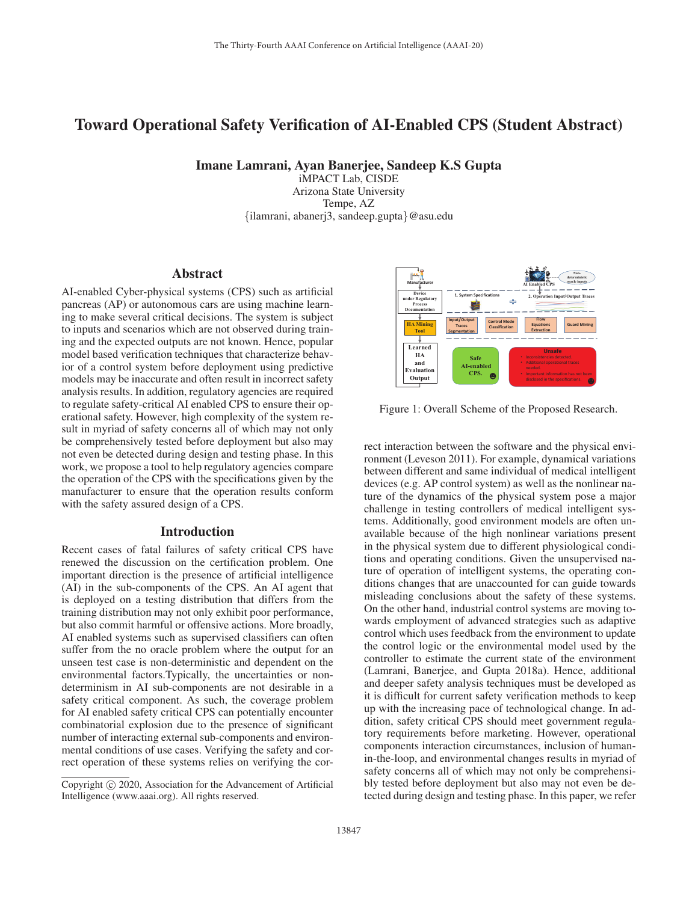# Toward Operational Safety Verification of AI-Enabled CPS (Student Abstract)

Imane Lamrani, Ayan Banerjee, Sandeep K.S Gupta

iMPACT Lab, CISDE Arizona State University Tempe, AZ {ilamrani, abanerj3, sandeep.gupta}@asu.edu

### Abstract

AI-enabled Cyber-physical systems (CPS) such as artificial pancreas (AP) or autonomous cars are using machine learning to make several critical decisions. The system is subject to inputs and scenarios which are not observed during training and the expected outputs are not known. Hence, popular model based verification techniques that characterize behavior of a control system before deployment using predictive models may be inaccurate and often result in incorrect safety analysis results. In addition, regulatory agencies are required to regulate safety-critical AI enabled CPS to ensure their operational safety. However, high complexity of the system result in myriad of safety concerns all of which may not only be comprehensively tested before deployment but also may not even be detected during design and testing phase. In this work, we propose a tool to help regulatory agencies compare the operation of the CPS with the specifications given by the manufacturer to ensure that the operation results conform with the safety assured design of a CPS.

### Introduction

Recent cases of fatal failures of safety critical CPS have renewed the discussion on the certification problem. One important direction is the presence of artificial intelligence (AI) in the sub-components of the CPS. An AI agent that is deployed on a testing distribution that differs from the training distribution may not only exhibit poor performance, but also commit harmful or offensive actions. More broadly, AI enabled systems such as supervised classifiers can often suffer from the no oracle problem where the output for an unseen test case is non-deterministic and dependent on the environmental factors.Typically, the uncertainties or nondeterminism in AI sub-components are not desirable in a safety critical component. As such, the coverage problem for AI enabled safety critical CPS can potentially encounter combinatorial explosion due to the presence of significant number of interacting external sub-components and environmental conditions of use cases. Verifying the safety and correct operation of these systems relies on verifying the cor-



Figure 1: Overall Scheme of the Proposed Research.

rect interaction between the software and the physical environment (Leveson 2011). For example, dynamical variations between different and same individual of medical intelligent devices (e.g. AP control system) as well as the nonlinear nature of the dynamics of the physical system pose a major challenge in testing controllers of medical intelligent systems. Additionally, good environment models are often unavailable because of the high nonlinear variations present in the physical system due to different physiological conditions and operating conditions. Given the unsupervised nature of operation of intelligent systems, the operating conditions changes that are unaccounted for can guide towards misleading conclusions about the safety of these systems. On the other hand, industrial control systems are moving towards employment of advanced strategies such as adaptive control which uses feedback from the environment to update the control logic or the environmental model used by the controller to estimate the current state of the environment (Lamrani, Banerjee, and Gupta 2018a). Hence, additional and deeper safety analysis techniques must be developed as it is difficult for current safety verification methods to keep up with the increasing pace of technological change. In addition, safety critical CPS should meet government regulatory requirements before marketing. However, operational components interaction circumstances, inclusion of humanin-the-loop, and environmental changes results in myriad of safety concerns all of which may not only be comprehensibly tested before deployment but also may not even be detected during design and testing phase. In this paper, we refer

Copyright  $\odot$  2020, Association for the Advancement of Artificial Intelligence (www.aaai.org). All rights reserved.